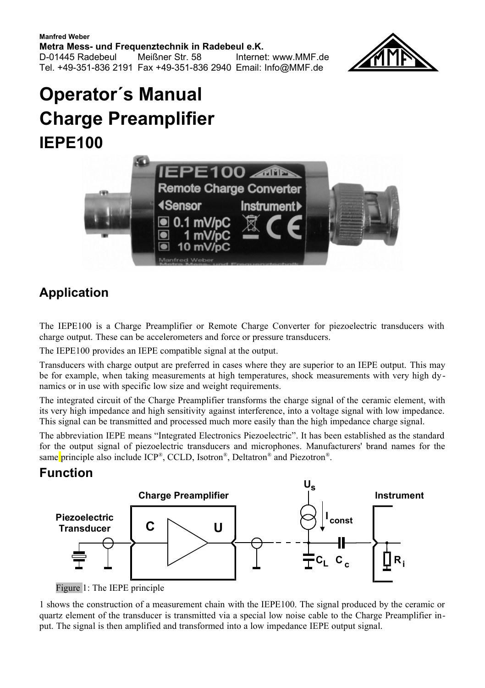**Manfred Weber Metra Mess- und Frequenztechnik in Radebeul e.K.** D-01445 Radebeul Meißner Str. 58 Internet: www.MMF.de Tel. +49-351-836 2191 Fax +49-351-836 2940 Email: Info@MMF.de



# **Operator´s Manual Charge Preamplifier IEPE100**



### **Application**

The IEPE100 is a Charge Preamplifier or Remote Charge Converter for piezoelectric transducers with charge output. These can be accelerometers and force or pressure transducers.

The IEPE100 provides an IEPE compatible signal at the output.

Transducers with charge output are preferred in cases where they are superior to an IEPE output. This may be for example, when taking measurements at high temperatures, shock measurements with very high dynamics or in use with specific low size and weight requirements.

The integrated circuit of the Charge Preamplifier transforms the charge signal of the ceramic element, with its very high impedance and high sensitivity against interference, into a voltage signal with low impedance. This signal can be transmitted and processed much more easily than the high impedance charge signal.

The abbreviation IEPE means "Integrated Electronics Piezoelectric". It has been established as the standard for the output signal of piezoelectric transducers and microphones. Manufacturers' brand names for the same principle also include ICP®, CCLD, Isotron®, Deltatron® and Piezotron®.

#### **Function**



<span id="page-0-0"></span>Figure 1: The IEPE principle

[1](#page-0-0) shows the construction of a measurement chain with the IEPE100. The signal produced by the ceramic or quartz element of the transducer is transmitted via a special low noise cable to the Charge Preamplifier input. The signal is then amplified and transformed into a low impedance IEPE output signal.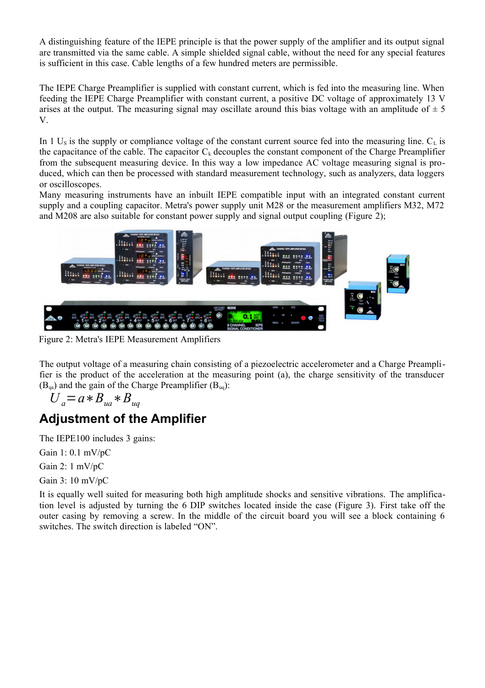A distinguishing feature of the IEPE principle is that the power supply of the amplifier and its output signal are transmitted via the same cable. A simple shielded signal cable, without the need for any special features is sufficient in this case. Cable lengths of a few hundred meters are permissible.

The IEPE Charge Preamplifier is supplied with constant current, which is fed into the measuring line. When feeding the IEPE Charge Preamplifier with constant current, a positive DC voltage of approximately 13 V arises at the output. The measuring signal may oscillate around this bias voltage with an amplitude of  $\pm$  5 V.

In [1](#page-0-0)  $U_s$  is the supply or compliance voltage of the constant current source fed into the measuring line.  $C_t$  is the capacitance of the cable. The capacitor  $C_k$  decouples the constant component of the Charge Preamplifier from the subsequent measuring device. In this way a low impedance AC voltage measuring signal is produced, which can then be processed with standard measurement technology, such as analyzers, data loggers or oscilloscopes.

Many measuring instruments have an inbuilt IEPE compatible input with an integrated constant current supply and a coupling capacitor. Metra's power supply unit M28 or the measurement amplifiers M32, M72 and M208 are also suitable for constant power supply and signal output coupling (Figure [2\)](#page-1-0);



Figure 2: Metra's IEPE Measurement Amplifiers

<span id="page-1-0"></span>The output voltage of a measuring chain consisting of a piezoelectric accelerometer and a Charge Preamplifier is the product of the acceleration at the measuring point (a), the charge sensitivity of the transducer  $(B<sub>0a</sub>)$  and the gain of the Charge Preamplifier  $(B<sub>00</sub>)$ :

$$
U_a = a * B_{ua} * B_{uq}
$$

#### **Adjustment of the Amplifier**

The IEPE100 includes 3 gains:

Gain 1: 0.1 mV/pC

Gain 2: 1 mV/pC

Gain 3: 10 mV/pC

It is equally well suited for measuring both high amplitude shocks and sensitive vibrations. The amplification level is adjusted by turning the 6 DIP switches located inside the case (Figure 3). First take off the outer casing by removing a screw. In the middle of the circuit board you will see a block containing 6 switches. The switch direction is labeled "ON".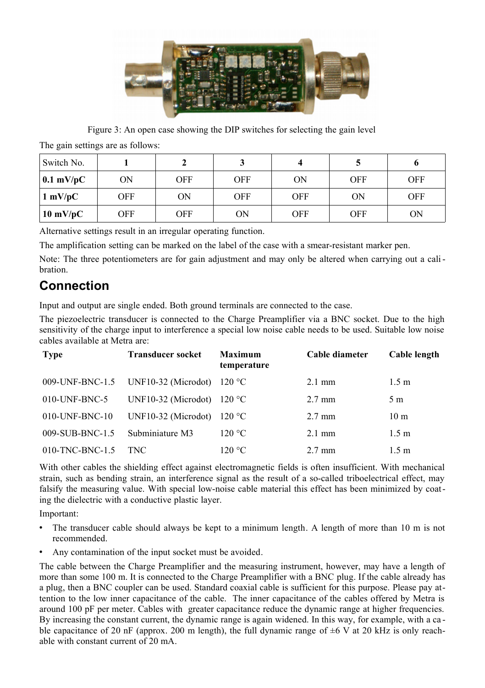

Figure 3: An open case showing the DIP switches for selecting the gain level

The gain settings are as follows:

| Switch No.         |           |            |     |            |            |            |
|--------------------|-----------|------------|-----|------------|------------|------------|
| $\vert$ 0.1 mV/pC  | <b>ON</b> | <b>OFF</b> | OFF | ON         | <b>OFF</b> | <b>OFF</b> |
| $1 \text{ mV}/pC$  | OFF       | ON         | OFF | <b>OFF</b> | ON         | <b>OFF</b> |
| $10 \text{ mV/pC}$ | OFF       | OFF        | ΟN  | <b>OFF</b> | <b>OFF</b> | ON         |

Alternative settings result in an irregular operating function.

The amplification setting can be marked on the label of the case with a smear-resistant marker pen.

Note: The three potentiometers are for gain adjustment and may only be altered when carrying out a calibration.

#### **Connection**

Input and output are single ended. Both ground terminals are connected to the case.

The piezoelectric transducer is connected to the Charge Preamplifier via a BNC socket. Due to the high sensitivity of the charge input to interference a special low noise cable needs to be used. Suitable low noise cables available at Metra are:

| <b>Type</b>     | <b>Transducer socket</b>            | <b>Maximum</b><br>temperature | Cable diameter   | Cable length     |
|-----------------|-------------------------------------|-------------------------------|------------------|------------------|
| 009-UNF-BNC-1.5 | UNF10-32 (Microdot)                 | 120 °C                        | $2.1 \text{ mm}$ | 1.5 <sub>m</sub> |
| 010-UNF-BNC-5   | UNF10-32 (Microdot) $120^{\circ}$ C |                               | $2.7 \text{ mm}$ | 5 m              |
| 010-UNF-BNC-10  | UNF10-32 (Microdot)                 | 120 °C                        | $2.7 \text{ mm}$ | 10 <sub>m</sub>  |
| 009-SUB-BNC-1.5 | Subminiature M3                     | 120 °C                        | $2.1 \text{ mm}$ | 1.5 <sub>m</sub> |
| 010-TNC-BNC-1.5 | TNC.                                | 120 °C                        | $2.7 \text{ mm}$ | 1.5 m            |

With other cables the shielding effect against electromagnetic fields is often insufficient. With mechanical strain, such as bending strain, an interference signal as the result of a so-called triboelectrical effect, may falsify the measuring value. With special low-noise cable material this effect has been minimized by coating the dielectric with a conductive plastic layer.

Important:

- The transducer cable should always be kept to a minimum length. A length of more than 10 m is not recommended.
- Any contamination of the input socket must be avoided.

The cable between the Charge Preamplifier and the measuring instrument, however, may have a length of more than some 100 m. It is connected to the Charge Preamplifier with a BNC plug. If the cable already has a plug, then a BNC coupler can be used. Standard coaxial cable is sufficient for this purpose. Please pay attention to the low inner capacitance of the cable. The inner capacitance of the cables offered by Metra is around 100 pF per meter. Cables with greater capacitance reduce the dynamic range at higher frequencies. By increasing the constant current, the dynamic range is again widened. In this way, for example, with a ca ble capacitance of 20 nF (approx. 200 m length), the full dynamic range of  $\pm 6$  V at 20 kHz is only reachable with constant current of 20 mA.